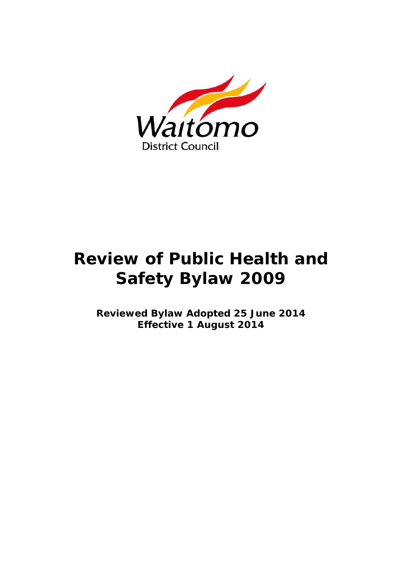

# **Review of Public Health and Safety Bylaw 2009**

**Reviewed Bylaw Adopted 25 June 2014 Effective 1 August 2014**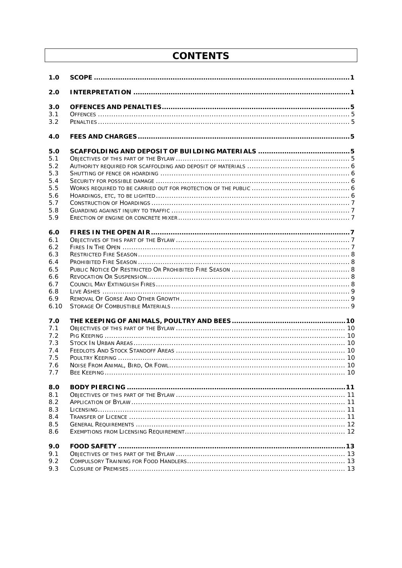# **CONTENTS**

| 1.0  |  |
|------|--|
| 2.0  |  |
| 3.0  |  |
| 3.1  |  |
| 3.2  |  |
| 4.0  |  |
| 5.0  |  |
| 5.1  |  |
| 5.2  |  |
| 5.3  |  |
| 5.4  |  |
| 5.5  |  |
| 5.6  |  |
| 5.7  |  |
| 5.8  |  |
| 5.9  |  |
| 6.0  |  |
| 6.1  |  |
| 6.2  |  |
| 6.3  |  |
| 6.4  |  |
| 6.5  |  |
| 6.6  |  |
| 6.7  |  |
| 6.8  |  |
| 6.9  |  |
| 6.10 |  |
| 7.0  |  |
| 7.1  |  |
| 7.2  |  |
| 7.3  |  |
| 7.4  |  |
| 7.5  |  |
| 7.6  |  |
| 7.7  |  |
| 8.0  |  |
| 8.1  |  |
| 8.2  |  |
| 8.3  |  |
| 8.4  |  |
| 8.5  |  |
| 8.6  |  |
| 9.0  |  |
| 9.1  |  |
| 9.2  |  |
| 9.3  |  |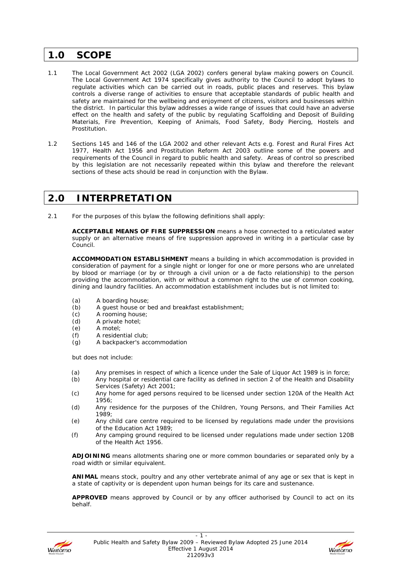### **1.0 SCOPE**

- 1.1 The Local Government Act 2002 (LGA 2002) confers general bylaw making powers on Council. The Local Government Act 1974 specifically gives authority to the Council to adopt bylaws to regulate activities which can be carried out in roads, public places and reserves. This bylaw controls a diverse range of activities to ensure that acceptable standards of public health and safety are maintained for the wellbeing and enjoyment of citizens, visitors and businesses within the district. In particular this bylaw addresses a wide range of issues that could have an adverse effect on the health and safety of the public by regulating Scaffolding and Deposit of Building Materials, Fire Prevention, Keeping of Animals, Food Safety, Body Piercing, Hostels and Prostitution.
- 1.2 Sections 145 and 146 of the LGA 2002 and other relevant Acts e.g. Forest and Rural Fires Act 1977, Health Act 1956 and Prostitution Reform Act 2003 outline some of the powers and requirements of the Council in regard to public health and safety. Areas of control so prescribed by this legislation are not necessarily repeated within this bylaw and therefore the relevant sections of these acts should be read in conjunction with the Bylaw.

### **2.0 INTERPRETATION**

2.1 For the purposes of this bylaw the following definitions shall apply:

**ACCEPTABLE MEANS OF FIRE SUPPRESSION** means a hose connected to a reticulated water supply or an alternative means of fire suppression approved in writing in a particular case by Council.

**ACCOMMODATION ESTABLISHMENT** means a building in which accommodation is provided in consideration of payment for a single night or longer for one or more persons who are unrelated by blood or marriage (or by or through a civil union or a de facto relationship) to the person providing the accommodation, with or without a common right to the use of common cooking, dining and laundry facilities. An accommodation establishment includes but is not limited to:

- (a) A boarding house;
- (b) A guest house or bed and breakfast establishment;
- (c) A rooming house;
- (d) A private hotel;
- (e) A motel;
- (f) A residential club;
- (g) A backpacker's accommodation

but does not include:

- (a) Any premises in respect of which a licence under the Sale of Liquor Act 1989 is in force;
- (b) Any hospital or residential care facility as defined in section 2 of the Health and Disability Services (Safety) Act 2001;
- (c) Any home for aged persons required to be licensed under section 120A of the Health Act 1956;
- (d) Any residence for the purposes of the Children, Young Persons, and Their Families Act 1989;
- (e) Any child care centre required to be licensed by regulations made under the provisions of the Education Act 1989;
- (f) Any camping ground required to be licensed under regulations made under section 120B of the Health Act 1956.

**ADJOINING** means allotments sharing one or more common boundaries or separated only by a road width or similar equivalent.

**ANIMAL** means stock, poultry and any other vertebrate animal of any age or sex that is kept in a state of captivity or is dependent upon human beings for its care and sustenance.

**APPROVED** means approved by Council or by any officer authorised by Council to act on its behalf.



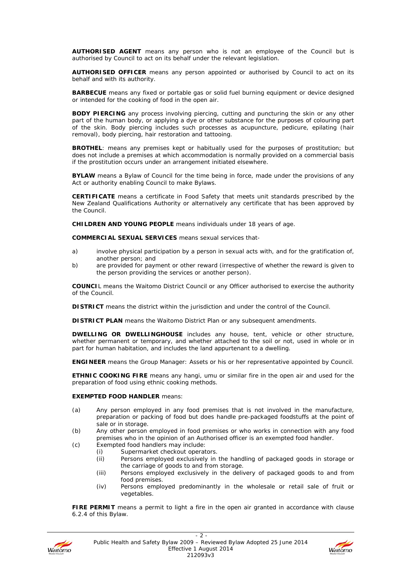**AUTHORISED AGENT** means any person who is not an employee of the Council but is authorised by Council to act on its behalf under the relevant legislation.

**AUTHORISED OFFICER** means any person appointed or authorised by Council to act on its behalf and with its authority.

**BARBECUE** means any fixed or portable gas or solid fuel burning equipment or device designed or intended for the cooking of food in the open air.

**BODY PIERCING** any process involving piercing, cutting and puncturing the skin or any other part of the human body, or applying a dye or other substance for the purposes of colouring part of the skin. Body piercing includes such processes as acupuncture, pedicure, epilating (hair removal), body piercing, hair restoration and tattooing.

**BROTHEL**: means any premises kept or habitually used for the purposes of prostitution; but does not include a premises at which accommodation is normally provided on a commercial basis if the prostitution occurs under an arrangement initiated elsewhere.

**BYLAW** means a Bylaw of Council for the time being in force, made under the provisions of any Act or authority enabling Council to make Bylaws.

**CERTIFICATE** means a certificate in Food Safety that meets unit standards prescribed by the New Zealand Qualifications Authority or alternatively any certificate that has been approved by the Council.

**CHILDREN AND YOUNG PEOPLE** means individuals under 18 years of age.

**COMMERCIAL SEXUAL SERVICES** means sexual services that-

- a) involve physical participation by a person in sexual acts with, and for the gratification of, another person; and
- b) are provided for payment or other reward (irrespective of whether the reward is given to the person providing the services or another person).

**COUNCI**L means the Waitomo District Council or any Officer authorised to exercise the authority of the Council.

**DISTRICT** means the district within the jurisdiction and under the control of the Council.

**DISTRICT PLAN** means the Waitomo District Plan or any subsequent amendments.

**DWELLING OR DWELLINGHOUSE** includes any house, tent, vehicle or other structure, whether permanent or temporary, and whether attached to the soil or not, used in whole or in part for human habitation, and includes the land appurtenant to a dwelling.

**ENGINEER** means the Group Manager: Assets or his or her representative appointed by Council.

**ETHNIC COOKING FIRE** means any hangi, umu or similar fire in the open air and used for the preparation of food using ethnic cooking methods.

#### **EXEMPTED FOOD HANDLER** means:

- (a) Any person employed in any food premises that is not involved in the manufacture, preparation or packing of food but does handle pre-packaged foodstuffs at the point of sale or in storage.
- (b) Any other person employed in food premises or who works in connection with any food premises who in the opinion of an Authorised officer is an exempted food handler.
- (c) Exempted food handlers may include:
	- (i) Supermarket checkout operators.
	- (ii) Persons employed exclusively in the handling of packaged goods in storage or the carriage of goods to and from storage.
	- (iii) Persons employed exclusively in the delivery of packaged goods to and from food premises.
	- (iv) Persons employed predominantly in the wholesale or retail sale of fruit or vegetables.

**FIRE PERMIT** means a permit to light a fire in the open air granted in accordance with clause 6.2.4 of this Bylaw.



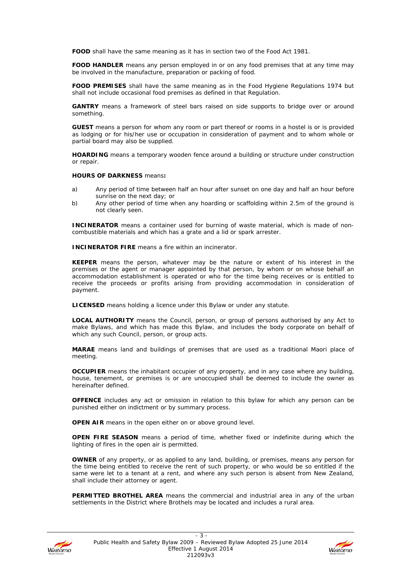**FOOD** shall have the same meaning as it has in section two of the Food Act 1981.

**FOOD HANDLER** means any person employed in or on any food premises that at any time may be involved in the manufacture, preparation or packing of food.

**FOOD PREMISES** shall have the same meaning as in the Food Hygiene Regulations 1974 but shall not include occasional food premises as defined in that Regulation.

**GANTRY** means a framework of steel bars raised on side supports to bridge over or around something.

**GUEST** means a person for whom any room or part thereof or rooms in a hostel is or is provided as lodging or for his/her use or occupation in consideration of payment and to whom whole or partial board may also be supplied.

**HOARDING** means a temporary wooden fence around a building or structure under construction or repair.

#### **HOURS OF DARKNESS** means**:**

- a) Any period of time between half an hour after sunset on one day and half an hour before sunrise on the next day; or
- b) Any other period of time when any hoarding or scaffolding within 2.5m of the ground is not clearly seen.

**INCINERATOR** means a container used for burning of waste material, which is made of noncombustible materials and which has a grate and a lid or spark arrester.

**INCINERATOR FIRE** means a fire within an incinerator.

**KEEPER** means the person, whatever may be the nature or extent of his interest in the premises or the agent or manager appointed by that person, by whom or on whose behalf an accommodation establishment is operated or who for the time being receives or is entitled to receive the proceeds or profits arising from providing accommodation in consideration of payment.

**LICENSED** means holding a licence under this Bylaw or under any statute.

**LOCAL AUTHORITY** means the Council, person, or group of persons authorised by any Act to make Bylaws, and which has made this Bylaw, and includes the body corporate on behalf of which any such Council, person, or group acts.

**MARAE** means land and buildings of premises that are used as a traditional Maori place of meeting.

**OCCUPIER** means the inhabitant occupier of any property, and in any case where any building, house, tenement, or premises is or are unoccupied shall be deemed to include the owner as hereinafter defined.

**OFFENCE** includes any act or omission in relation to this bylaw for which any person can be punished either on indictment or by summary process.

**OPEN AIR** means in the open either on or above ground level.

**OPEN FIRE SEASON** means a period of time, whether fixed or indefinite during which the lighting of fires in the open air is permitted.

**OWNER** of any property, or as applied to any land, building, or premises, means any person for the time being entitled to receive the rent of such property, or who would be so entitled if the same were let to a tenant at a rent, and where any such person is absent from New Zealand, shall include their attorney or agent.

**PERMITTED BROTHEL AREA** means the commercial and industrial area in any of the urban settlements in the District where Brothels may be located and includes a rural area.



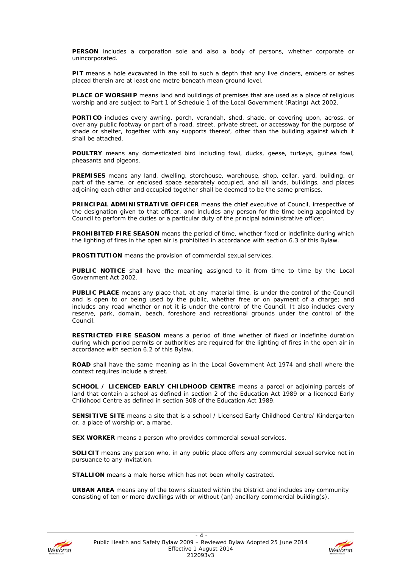**PERSON** includes a corporation sole and also a body of persons, whether corporate or unincorporated.

**PIT** means a hole excavated in the soil to such a depth that any live cinders, embers or ashes placed therein are at least one metre beneath mean ground level.

**PLACE OF WORSHIP** means land and buildings of premises that are used as a place of religious worship and are subject to Part 1 of Schedule 1 of the Local Government (Rating) Act 2002.

**PORTICO** includes every awning, porch, verandah, shed, shade, or covering upon, across, or over any public footway or part of a road, street, private street, or accessway for the purpose of shade or shelter, together with any supports thereof, other than the building against which it shall be attached.

**POULTRY** means any domesticated bird including fowl, ducks, geese, turkeys, guinea fowl, pheasants and pigeons.

**PREMISES** means any land, dwelling, storehouse, warehouse, shop, cellar, yard, building, or part of the same, or enclosed space separately occupied, and all lands, buildings, and places adjoining each other and occupied together shall be deemed to be the same premises.

**PRINCIPAL ADMINISTRATIVE OFFICER** means the chief executive of Council, irrespective of the designation given to that officer, and includes any person for the time being appointed by Council to perform the duties or a particular duty of the principal administrative officer.

**PROHIBITED FIRE SEASON** means the period of time, whether fixed or indefinite during which the lighting of fires in the open air is prohibited in accordance with section 6.3 of this Bylaw.

**PROSTITUTION** means the provision of commercial sexual services.

**PUBLIC NOTICE** shall have the meaning assigned to it from time to time by the Local Government Act 2002.

**PUBLIC PLACE** means any place that, at any material time, is under the control of the Council and is open to or being used by the public, whether free or on payment of a charge; and includes any road whether or not it is under the control of the Council. It also includes every reserve, park, domain, beach, foreshore and recreational grounds under the control of the Council.

**RESTRICTED FIRE SEASON** means a period of time whether of fixed or indefinite duration during which period permits or authorities are required for the lighting of fires in the open air in accordance with section 6.2 of this Bylaw.

**ROAD** shall have the same meaning as in the Local Government Act 1974 and shall where the context requires include a street.

**SCHOOL / LICENCED EARLY CHILDHOOD CENTRE** means a parcel or adjoining parcels of land that contain a school as defined in section 2 of the Education Act 1989 or a licenced Early Childhood Centre as defined in section 308 of the Education Act 1989.

**SENSITIVE SITE** means a site that is a school / Licensed Early Childhood Centre/ Kindergarten or, a place of worship or, a marae.

**SEX WORKER** means a person who provides commercial sexual services.

**SOLICIT** means any person who, in any public place offers any commercial sexual service not in pursuance to any invitation.

**STALLION** means a male horse which has not been wholly castrated.

**URBAN AREA** means any of the towns situated within the District and includes any community consisting of ten or more dwellings with or without (an) ancillary commercial building(s).



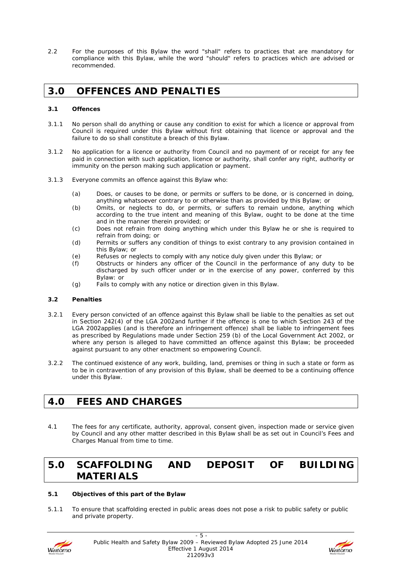2.2 For the purposes of this Bylaw the word "shall" refers to practices that are mandatory for compliance with this Bylaw, while the word "should" refers to practices which are advised or recommended.

### **3.0 OFFENCES AND PENALTIES**

#### **3.1 Offences**

- 3.1.1 No person shall do anything or cause any condition to exist for which a licence or approval from Council is required under this Bylaw without first obtaining that licence or approval and the failure to do so shall constitute a breach of this Bylaw.
- 3.1.2 No application for a licence or authority from Council and no payment of or receipt for any fee paid in connection with such application, licence or authority, shall confer any right, authority or immunity on the person making such application or payment.
- 3.1.3 Everyone commits an offence against this Bylaw who:
	- (a) Does, or causes to be done, or permits or suffers to be done, or is concerned in doing, anything whatsoever contrary to or otherwise than as provided by this Bylaw; or
	- (b) Omits, or neglects to do, or permits, or suffers to remain undone, anything which according to the true intent and meaning of this Bylaw, ought to be done at the time and in the manner therein provided; or
	- (c) Does not refrain from doing anything which under this Bylaw he or she is required to refrain from doing; or
	- (d) Permits or suffers any condition of things to exist contrary to any provision contained in this Bylaw; or
	- (e) Refuses or neglects to comply with any notice duly given under this Bylaw; or
	- (f) Obstructs or hinders any officer of the Council in the performance of any duty to be discharged by such officer under or in the exercise of any power, conferred by this Bylaw: or
	- (g) Fails to comply with any notice or direction given in this Bylaw.

#### **3.2 Penalties**

- 3.2.1 Every person convicted of an offence against this Bylaw shall be liable to the penalties as set out in Section 242(4) of the LGA 2002and further if the offence is one to which Section 243 of the LGA 2002applies (and is therefore an infringement offence) shall be liable to infringement fees as prescribed by Regulations made under Section 259 (b) of the Local Government Act 2002, or where any person is alleged to have committed an offence against this Bylaw; be proceeded against pursuant to any other enactment so empowering Council.
- 3.2.2 The continued existence of any work, building, land, premises or thing in such a state or form as to be in contravention of any provision of this Bylaw, shall be deemed to be a continuing offence under this Bylaw.

# **4.0 FEES AND CHARGES**

4.1 The fees for any certificate, authority, approval, consent given, inspection made or service given by Council and any other matter described in this Bylaw shall be as set out in Council's Fees and Charges Manual from time to time.

# **5.0 SCAFFOLDING AND DEPOSIT OF BUILDING MATERIALS**

#### **5.1 Objectives of this part of the Bylaw**

5.1.1 To ensure that scaffolding erected in public areas does not pose a risk to public safety or public and private property.



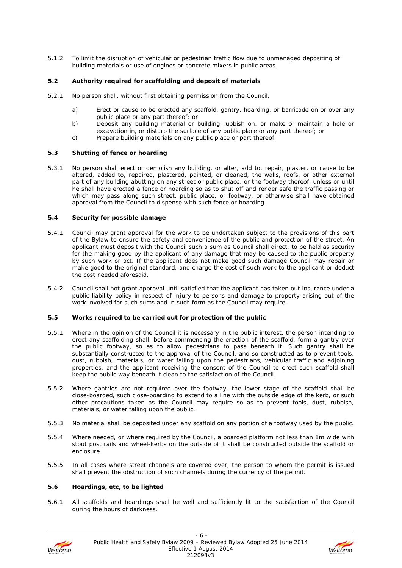5.1.2 To limit the disruption of vehicular or pedestrian traffic flow due to unmanaged depositing of building materials or use of engines or concrete mixers in public areas.

#### **5.2 Authority required for scaffolding and deposit of materials**

- 5.2.1 No person shall, without first obtaining permission from the Council:
	- a) Erect or cause to be erected any scaffold, gantry, hoarding, or barricade on or over any public place or any part thereof; or
	- b) Deposit any building material or building rubbish on, or make or maintain a hole or excavation in, or disturb the surface of any public place or any part thereof; or
	- c) Prepare building materials on any public place or part thereof.

#### **5.3 Shutting of fence or hoarding**

5.3.1 No person shall erect or demolish any building, or alter, add to, repair, plaster, or cause to be altered, added to, repaired, plastered, painted, or cleaned, the walls, roofs, or other external part of any building abutting on any street or public place, or the footway thereof, unless or until he shall have erected a fence or hoarding so as to shut off and render safe the traffic passing or which may pass along such street, public place, or footway, or otherwise shall have obtained approval from the Council to dispense with such fence or hoarding.

#### **5.4 Security for possible damage**

- 5.4.1 Council may grant approval for the work to be undertaken subject to the provisions of this part of the Bylaw to ensure the safety and convenience of the public and protection of the street. An applicant must deposit with the Council such a sum as Council shall direct, to be held as security for the making good by the applicant of any damage that may be caused to the public property by such work or act. If the applicant does not make good such damage Council may repair or make good to the original standard, and charge the cost of such work to the applicant or deduct the cost needed aforesaid.
- 5.4.2 Council shall not grant approval until satisfied that the applicant has taken out insurance under a public liability policy in respect of injury to persons and damage to property arising out of the work involved for such sums and in such form as the Council may require.

#### **5.5 Works required to be carried out for protection of the public**

- 5.5.1 Where in the opinion of the Council it is necessary in the public interest, the person intending to erect any scaffolding shall, before commencing the erection of the scaffold, form a gantry over the public footway, so as to allow pedestrians to pass beneath it. Such gantry shall be substantially constructed to the approval of the Council, and so constructed as to prevent tools, dust, rubbish, materials, or water falling upon the pedestrians, vehicular traffic and adjoining properties, and the applicant receiving the consent of the Council to erect such scaffold shall keep the public way beneath it clean to the satisfaction of the Council.
- 5.5.2 Where gantries are not required over the footway, the lower stage of the scaffold shall be close-boarded, such close-boarding to extend to a line with the outside edge of the kerb, or such other precautions taken as the Council may require so as to prevent tools, dust, rubbish, materials, or water falling upon the public.
- 5.5.3 No material shall be deposited under any scaffold on any portion of a footway used by the public.
- 5.5.4 Where needed, or where required by the Council, a boarded platform not less than 1m wide with stout post rails and wheel-kerbs on the outside of it shall be constructed outside the scaffold or enclosure.
- 5.5.5 In all cases where street channels are covered over, the person to whom the permit is issued shall prevent the obstruction of such channels during the currency of the permit.

#### **5.6 Hoardings, etc, to be lighted**

5.6.1 All scaffolds and hoardings shall be well and sufficiently lit to the satisfaction of the Council during the hours of darkness.



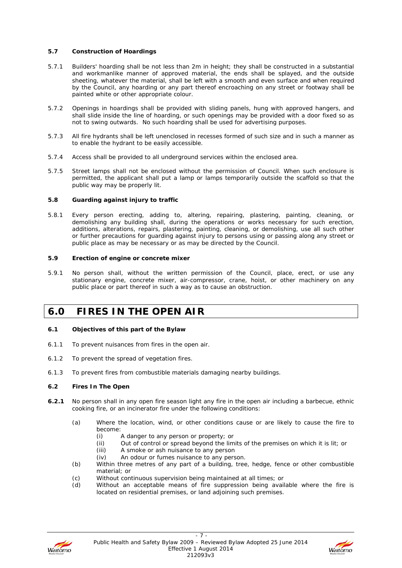#### **5.7 Construction of Hoardings**

- 5.7.1 Builders' hoarding shall be not less than 2m in height; they shall be constructed in a substantial and workmanlike manner of approved material, the ends shall be splayed, and the outside sheeting, whatever the material, shall be left with a smooth and even surface and when required by the Council, any hoarding or any part thereof encroaching on any street or footway shall be painted white or other appropriate colour.
- 5.7.2 Openings in hoardings shall be provided with sliding panels, hung with approved hangers, and shall slide inside the line of hoarding, or such openings may be provided with a door fixed so as not to swing outwards. No such hoarding shall be used for advertising purposes.
- 5.7.3 All fire hydrants shall be left unenclosed in recesses formed of such size and in such a manner as to enable the hydrant to be easily accessible.
- 5.7.4 Access shall be provided to all underground services within the enclosed area.
- 5.7.5 Street lamps shall not be enclosed without the permission of Council. When such enclosure is permitted, the applicant shall put a lamp or lamps temporarily outside the scaffold so that the public way may be properly lit.

#### **5.8 Guarding against injury to traffic**

5.8.1 Every person erecting, adding to, altering, repairing, plastering, painting, cleaning, or demolishing any building shall, during the operations or works necessary for such erection, additions, alterations, repairs, plastering, painting, cleaning, or demolishing, use all such other or further precautions for guarding against injury to persons using or passing along any street or public place as may be necessary or as may be directed by the Council.

#### **5.9 Erection of engine or concrete mixer**

5.9.1 No person shall, without the written permission of the Council, place, erect, or use any stationary engine, concrete mixer, air-compressor, crane, hoist, or other machinery on any public place or part thereof in such a way as to cause an obstruction.

### **6.0 FIRES IN THE OPEN AIR**

#### **6.1 Objectives of this part of the Bylaw**

- 6.1.1 To prevent nuisances from fires in the open air.
- 6.1.2 To prevent the spread of vegetation fires.
- 6.1.3 To prevent fires from combustible materials damaging nearby buildings.

#### **6.2 Fires In The Open**

- **6.2.1** No person shall in any open fire season light any fire in the open air including a barbecue, ethnic cooking fire, or an incinerator fire under the following conditions:
	- (a) Where the location, wind, or other conditions cause or are likely to cause the fire to become:
		- (i) A danger to any person or property; or
		- (ii) Out of control or spread beyond the limits of the premises on which it is lit; or
		- (iii) A smoke or ash nuisance to any person
		- (iv) An odour or fumes nuisance to any person.
	- (b) Within three metres of any part of a building, tree, hedge, fence or other combustible material; or
	- (c) Without continuous supervision being maintained at all times; or
	- (d) Without an acceptable means of fire suppression being available where the fire is located on residential premises, or land adjoining such premises.



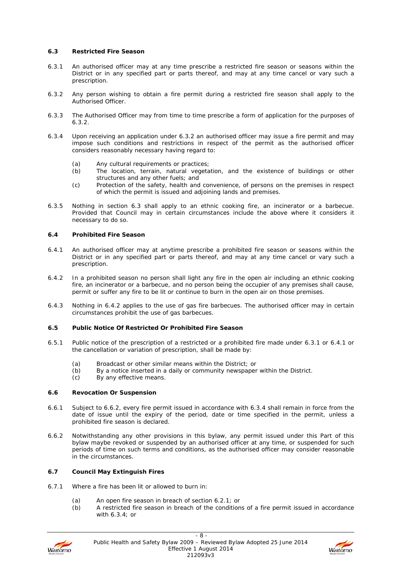#### **6.3 Restricted Fire Season**

- 6.3.1 An authorised officer may at any time prescribe a restricted fire season or seasons within the District or in any specified part or parts thereof, and may at any time cancel or vary such a prescription.
- 6.3.2 Any person wishing to obtain a fire permit during a restricted fire season shall apply to the Authorised Officer.
- 6.3.3 The Authorised Officer may from time to time prescribe a form of application for the purposes of 6.3.2.
- 6.3.4 Upon receiving an application under 6.3.2 an authorised officer may issue a fire permit and may impose such conditions and restrictions in respect of the permit as the authorised officer considers reasonably necessary having regard to:
	- (a) Any cultural requirements or practices;<br>(b) The location, terrain, natural vegeta
	- The location, terrain, natural vegetation, and the existence of buildings or other structures and any other fuels; and
	- (c) Protection of the safety, health and convenience, of persons on the premises in respect of which the permit is issued and adjoining lands and premises.
- 6.3.5 Nothing in section 6.3 shall apply to an ethnic cooking fire, an incinerator or a barbecue. Provided that Council may in certain circumstances include the above where it considers it necessary to do so.

#### **6.4 Prohibited Fire Season**

- 6.4.1 An authorised officer may at anytime prescribe a prohibited fire season or seasons within the District or in any specified part or parts thereof, and may at any time cancel or vary such a prescription.
- 6.4.2 In a prohibited season no person shall light any fire in the open air including an ethnic cooking fire, an incinerator or a barbecue, and no person being the occupier of any premises shall cause, permit or suffer any fire to be lit or continue to burn in the open air on those premises.
- 6.4.3 Nothing in 6.4.2 applies to the use of gas fire barbecues. The authorised officer may in certain circumstances prohibit the use of gas barbecues.

#### **6.5 Public Notice Of Restricted Or Prohibited Fire Season**

- 6.5.1 Public notice of the prescription of a restricted or a prohibited fire made under 6.3.1 or 6.4.1 or the cancellation or variation of prescription, shall be made by:
	- (a) Broadcast or other similar means within the District; or
	- (b) By a notice inserted in a daily or community newspaper within the District.
	- (c) By any effective means.

#### **6.6 Revocation Or Suspension**

- 6.6.1 Subject to 6.6.2, every fire permit issued in accordance with 6.3.4 shall remain in force from the date of issue until the expiry of the period, date or time specified in the permit, unless a prohibited fire season is declared.
- 6.6.2 Notwithstanding any other provisions in this bylaw, any permit issued under this Part of this bylaw maybe revoked or suspended by an authorised officer at any time, or suspended for such periods of time on such terms and conditions, as the authorised officer may consider reasonable in the circumstances.

#### **6.7 Council May Extinguish Fires**

- 6.7.1 Where a fire has been lit or allowed to burn in:
	- (a) An open fire season in breach of section 6.2.1; or
	- (b) A restricted fire season in breach of the conditions of a fire permit issued in accordance with 6.3.4; or



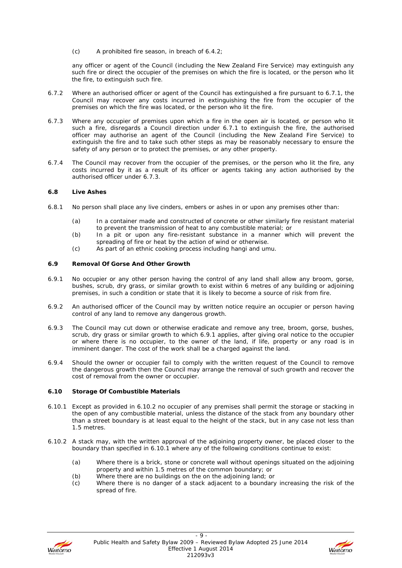(c) A prohibited fire season, in breach of 6.4.2;

any officer or agent of the Council (including the New Zealand Fire Service) may extinguish any such fire or direct the occupier of the premises on which the fire is located, or the person who lit the fire, to extinguish such fire.

- 6.7.2 Where an authorised officer or agent of the Council has extinguished a fire pursuant to 6.7.1, the Council may recover any costs incurred in extinguishing the fire from the occupier of the premises on which the fire was located, or the person who lit the fire.
- 6.7.3 Where any occupier of premises upon which a fire in the open air is located, or person who lit such a fire, disregards a Council direction under 6.7.1 to extinguish the fire, the authorised officer may authorise an agent of the Council (including the New Zealand Fire Service) to extinguish the fire and to take such other steps as may be reasonably necessary to ensure the safety of any person or to protect the premises, or any other property.
- 6.7.4 The Council may recover from the occupier of the premises, or the person who lit the fire, any costs incurred by it as a result of its officer or agents taking any action authorised by the authorised officer under 6.7.3.

#### **6.8 Live Ashes**

- 6.8.1 No person shall place any live cinders, embers or ashes in or upon any premises other than:
	- (a) In a container made and constructed of concrete or other similarly fire resistant material to prevent the transmission of heat to any combustible material; or
	- (b) In a pit or upon any fire-resistant substance in a manner which will prevent the spreading of fire or heat by the action of wind or otherwise.
	- (c) As part of an ethnic cooking process including hangi and umu.

#### **6.9 Removal Of Gorse And Other Growth**

- 6.9.1 No occupier or any other person having the control of any land shall allow any broom, gorse, bushes, scrub, dry grass, or similar growth to exist within 6 metres of any building or adjoining premises, in such a condition or state that it is likely to become a source of risk from fire.
- 6.9.2 An authorised officer of the Council may by written notice require an occupier or person having control of any land to remove any dangerous growth.
- 6.9.3 The Council may cut down or otherwise eradicate and remove any tree, broom, gorse, bushes, scrub, dry grass or similar growth to which 6.9.1 applies, after giving oral notice to the occupier or where there is no occupier, to the owner of the land, if life, property or any road is in imminent danger. The cost of the work shall be a charged against the land.
- 6.9.4 Should the owner or occupier fail to comply with the written request of the Council to remove the dangerous growth then the Council may arrange the removal of such growth and recover the cost of removal from the owner or occupier.

#### **6.10 Storage Of Combustible Materials**

- 6.10.1 Except as provided in 6.10.2 no occupier of any premises shall permit the storage or stacking in the open of any combustible material, unless the distance of the stack from any boundary other than a street boundary is at least equal to the height of the stack, but in any case not less than 1.5 metres.
- 6.10.2 A stack may, with the written approval of the adjoining property owner, be placed closer to the boundary than specified in 6.10.1 where any of the following conditions continue to exist:
	- (a) Where there is a brick, stone or concrete wall without openings situated on the adjoining property and within 1.5 metres of the common boundary; or
	- (b) Where there are no buildings on the on the adjoining land; or
	- (c) Where there is no danger of a stack adjacent to a boundary increasing the risk of the spread of fire.



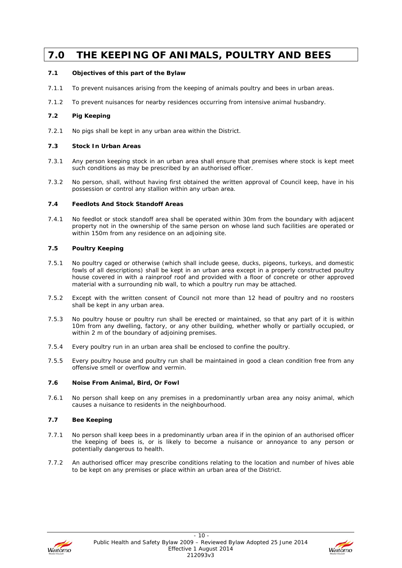# **7.0 THE KEEPING OF ANIMALS, POULTRY AND BEES**

#### **7.1 Objectives of this part of the Bylaw**

- 7.1.1 To prevent nuisances arising from the keeping of animals poultry and bees in urban areas.
- 7.1.2 To prevent nuisances for nearby residences occurring from intensive animal husbandry.

#### **7.2 Pig Keeping**

7.2.1 No pigs shall be kept in any urban area within the District.

#### **7.3 Stock In Urban Areas**

- 7.3.1 Any person keeping stock in an urban area shall ensure that premises where stock is kept meet such conditions as may be prescribed by an authorised officer.
- 7.3.2 No person, shall, without having first obtained the written approval of Council keep, have in his possession or control any stallion within any urban area.

#### **7.4 Feedlots And Stock Standoff Areas**

7.4.1 No feedlot or stock standoff area shall be operated within 30m from the boundary with adjacent property not in the ownership of the same person on whose land such facilities are operated or within 150m from any residence on an adjoining site.

#### **7.5 Poultry Keeping**

- 7.5.1 No poultry caged or otherwise (which shall include geese, ducks, pigeons, turkeys, and domestic fowls of all descriptions) shall be kept in an urban area except in a properly constructed poultry house covered in with a rainproof roof and provided with a floor of concrete or other approved material with a surrounding nib wall, to which a poultry run may be attached.
- 7.5.2 Except with the written consent of Council not more than 12 head of poultry and no roosters shall be kept in any urban area.
- 7.5.3 No poultry house or poultry run shall be erected or maintained, so that any part of it is within 10m from any dwelling, factory, or any other building, whether wholly or partially occupied, or within 2 m of the boundary of adjoining premises.
- 7.5.4 Every poultry run in an urban area shall be enclosed to confine the poultry.
- 7.5.5 Every poultry house and poultry run shall be maintained in good a clean condition free from any offensive smell or overflow and vermin.

#### **7.6 Noise From Animal, Bird, Or Fowl**

7.6.1 No person shall keep on any premises in a predominantly urban area any noisy animal, which causes a nuisance to residents in the neighbourhood.

#### **7.7 Bee Keeping**

- 7.7.1 No person shall keep bees in a predominantly urban area if in the opinion of an authorised officer the keeping of bees is, or is likely to become a nuisance or annoyance to any person or potentially dangerous to health.
- 7.7.2 An authorised officer may prescribe conditions relating to the location and number of hives able to be kept on any premises or place within an urban area of the District.



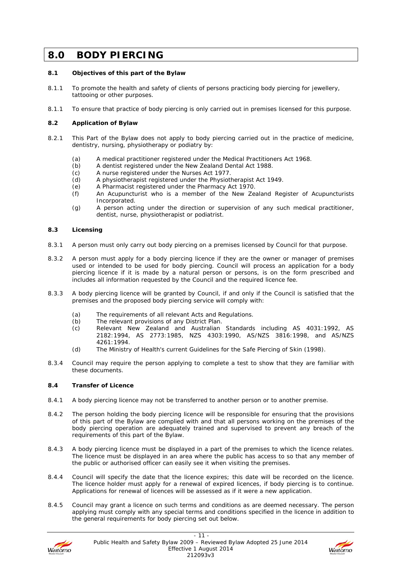### **8.0 BODY PIERCING**

#### **8.1 Objectives of this part of the Bylaw**

- 8.1.1 To promote the health and safety of clients of persons practicing body piercing for jewellery, tattooing or other purposes.
- 8.1.1 To ensure that practice of body piercing is only carried out in premises licensed for this purpose.

#### **8.2 Application of Bylaw**

- 8.2.1 This Part of the Bylaw does not apply to body piercing carried out in the practice of medicine, dentistry, nursing, physiotherapy or podiatry by:
	- (a) A medical practitioner registered under the Medical Practitioners Act 1968.
	- (b) A dentist registered under the New Zealand Dental Act 1988.<br>(c) A nurse registered under the Nurses Act 1977.
	- A nurse registered under the Nurses Act 1977.
	- (d) A physiotherapist registered under the Physiotherapist Act 1949.
	- (e) A Pharmacist registered under the Pharmacy Act 1970.
	- (f) An Acupuncturist who is a member of the New Zealand Register of Acupuncturists Incorporated.
	- (g) A person acting under the direction or supervision of any such medical practitioner, dentist, nurse, physiotherapist or podiatrist.

#### **8.3 Licensing**

- 8.3.1 A person must only carry out body piercing on a premises licensed by Council for that purpose.
- 8.3.2 A person must apply for a body piercing licence if they are the owner or manager of premises used or intended to be used for body piercing. Council will process an application for a body piercing licence if it is made by a natural person or persons, is on the form prescribed and includes all information requested by the Council and the required licence fee.
- 8.3.3 A body piercing licence will be granted by Council, if and only if the Council is satisfied that the premises and the proposed body piercing service will comply with:
	- (a) The requirements of all relevant Acts and Regulations.
	- (b) The relevant provisions of any District Plan.
	- (c) Relevant New Zealand and Australian Standards including AS 4031:1992, AS 2182:1994, AS 2773:1985, NZS 4303:1990, AS/NZS 3816:1998, and AS/NZS 4261:1994.
	- (d) The Ministry of Health's current Guidelines for the Safe Piercing of Skin (1998).
- 8.3.4 Council may require the person applying to complete a test to show that they are familiar with these documents.

#### **8.4 Transfer of Licence**

- 8.4.1 A body piercing licence may not be transferred to another person or to another premise.
- 8.4.2 The person holding the body piercing licence will be responsible for ensuring that the provisions of this part of the Bylaw are complied with and that all persons working on the premises of the body piercing operation are adequately trained and supervised to prevent any breach of the requirements of this part of the Bylaw.
- 8.4.3 A body piercing licence must be displayed in a part of the premises to which the licence relates. The licence must be displayed in an area where the public has access to so that any member of the public or authorised officer can easily see it when visiting the premises.
- 8.4.4 Council will specify the date that the licence expires; this date will be recorded on the licence. The licence holder must apply for a renewal of expired licences, if body piercing is to continue. Applications for renewal of licences will be assessed as if it were a new application.
- 8.4.5 Council may grant a licence on such terms and conditions as are deemed necessary. The person applying must comply with any special terms and conditions specified in the licence in addition to the general requirements for body piercing set out below.



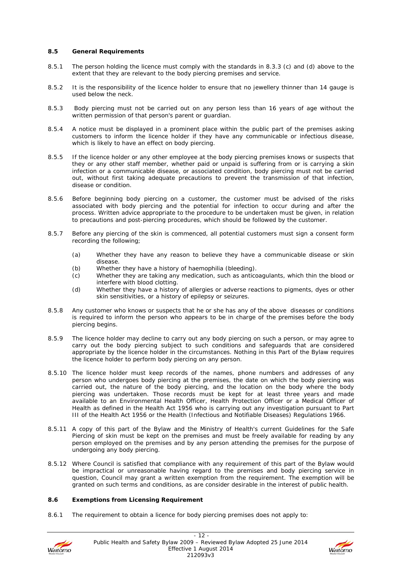#### **8.5 General Requirements**

- 8.5.1 The person holding the licence must comply with the standards in 8.3.3 (c) and (d) above to the extent that they are relevant to the body piercing premises and service.
- 8.5.2 It is the responsibility of the licence holder to ensure that no jewellery thinner than 14 gauge is used below the neck.
- 8.5.3 Body piercing must not be carried out on any person less than 16 years of age without the written permission of that person's parent or guardian.
- 8.5.4 A notice must be displayed in a prominent place within the public part of the premises asking customers to inform the licence holder if they have any communicable or infectious disease, which is likely to have an effect on body piercing.
- 8.5.5 If the licence holder or any other employee at the body piercing premises knows or suspects that they or any other staff member, whether paid or unpaid is suffering from or is carrying a skin infection or a communicable disease, or associated condition, body piercing must not be carried out, without first taking adequate precautions to prevent the transmission of that infection, disease or condition.
- 8.5.6 Before beginning body piercing on a customer, the customer must be advised of the risks associated with body piercing and the potential for infection to occur during and after the process. Written advice appropriate to the procedure to be undertaken must be given, in relation to precautions and post-piercing procedures, which should be followed by the customer.
- 8.5.7 Before any piercing of the skin is commenced, all potential customers must sign a consent form recording the following;
	- (a) Whether they have any reason to believe they have a communicable disease or skin disease.
	- (b) Whether they have a history of haemophilia (bleeding).
	- (c) Whether they are taking any medication, such as anticoagulants, which thin the blood or interfere with blood clotting.
	- (d) Whether they have a history of allergies or adverse reactions to pigments, dyes or other skin sensitivities, or a history of epilepsy or seizures.
- 8.5.8 Any customer who knows or suspects that he or she has any of the above diseases or conditions is required to inform the person who appears to be in charge of the premises before the body piercing begins.
- 8.5.9 The licence holder may decline to carry out any body piercing on such a person, or may agree to carry out the body piercing subject to such conditions and safeguards that are considered appropriate by the licence holder in the circumstances. Nothing in this Part of the Bylaw requires the licence holder to perform body piercing on any person.
- 8.5.10 The licence holder must keep records of the names, phone numbers and addresses of any person who undergoes body piercing at the premises, the date on which the body piercing was carried out, the nature of the body piercing, and the location on the body where the body piercing was undertaken. Those records must be kept for at least three years and made available to an Environmental Health Officer, Health Protection Officer or a Medical Officer of Health as defined in the Health Act 1956 who is carrying out any investigation pursuant to Part III of the Health Act 1956 or the Health (Infectious and Notifiable Diseases) Regulations 1966.
- 8.5.11 A copy of this part of the Bylaw and the Ministry of Health's current Guidelines for the Safe Piercing of skin must be kept on the premises and must be freely available for reading by any person employed on the premises and by any person attending the premises for the purpose of undergoing any body piercing.
- 8.5.12 Where Council is satisfied that compliance with any requirement of this part of the Bylaw would be impractical or unreasonable having regard to the premises and body piercing service in question, Council may grant a written exemption from the requirement. The exemption will be granted on such terms and conditions, as are consider desirable in the interest of public health.

#### **8.6 Exemptions from Licensing Requirement**

8.6.1 The requirement to obtain a licence for body piercing premises does not apply to:



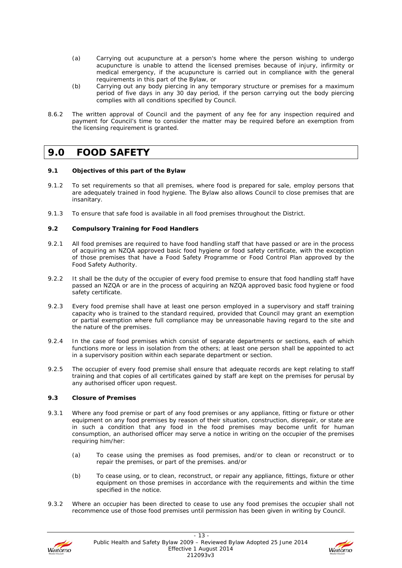- (a) Carrying out acupuncture at a person's home where the person wishing to undergo acupuncture is unable to attend the licensed premises because of injury, infirmity or medical emergency, if the acupuncture is carried out in compliance with the general requirements in this part of the Bylaw, or
- (b) Carrying out any body piercing in any temporary structure or premises for a maximum period of five days in any 30 day period, if the person carrying out the body piercing complies with all conditions specified by Council.
- 8.6.2 The written approval of Council and the payment of any fee for any inspection required and payment for Council's time to consider the matter may be required before an exemption from the licensing requirement is granted.

### **9.0 FOOD SAFETY**

#### **9.1 Objectives of this part of the Bylaw**

- 9.1.2 To set requirements so that all premises, where food is prepared for sale, employ persons that are adequately trained in food hygiene. The Bylaw also allows Council to close premises that are insanitary.
- 9.1.3 To ensure that safe food is available in all food premises throughout the District.

#### **9.2 Compulsory Training for Food Handlers**

- 9.2.1 All food premises are required to have food handling staff that have passed or are in the process of acquiring an NZQA approved basic food hygiene or food safety certificate, with the exception of those premises that have a Food Safety Programme or Food Control Plan approved by the Food Safety Authority.
- 9.2.2 It shall be the duty of the occupier of every food premise to ensure that food handling staff have passed an NZQA or are in the process of acquiring an NZQA approved basic food hygiene or food safety certificate.
- 9.2.3 Every food premise shall have at least one person employed in a supervisory and staff training capacity who is trained to the standard required, provided that Council may grant an exemption or partial exemption where full compliance may be unreasonable having regard to the site and the nature of the premises.
- 9.2.4 In the case of food premises which consist of separate departments or sections, each of which functions more or less in isolation from the others; at least one person shall be appointed to act in a supervisory position within each separate department or section.
- 9.2.5 The occupier of every food premise shall ensure that adequate records are kept relating to staff training and that copies of all certificates gained by staff are kept on the premises for perusal by any authorised officer upon request.

#### **9.3 Closure of Premises**

- 9.3.1 Where any food premise or part of any food premises or any appliance, fitting or fixture or other equipment on any food premises by reason of their situation, construction, disrepair, or state are in such a condition that any food in the food premises may become unfit for human consumption, an authorised officer may serve a notice in writing on the occupier of the premises requiring him/her:
	- (a) To cease using the premises as food premises, and/or to clean or reconstruct or to repair the premises, or part of the premises. and/or
	- (b) To cease using, or to clean, reconstruct, or repair any appliance, fittings, fixture or other equipment on those premises in accordance with the requirements and within the time specified in the notice.
- 9.3.2 Where an occupier has been directed to cease to use any food premises the occupier shall not recommence use of those food premises until permission has been given in writing by Council.



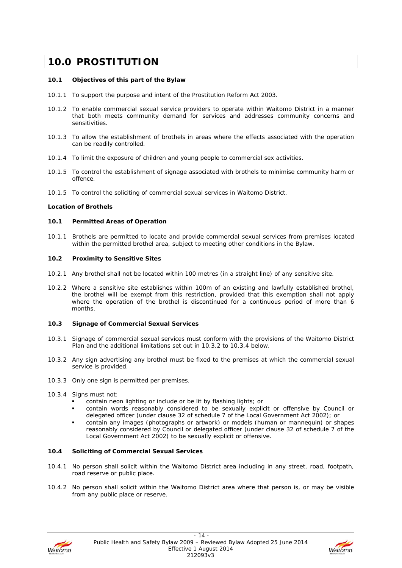## **10.0 PROSTITUTION**

#### **10.1 Objectives of this part of the Bylaw**

- 10.1.1 To support the purpose and intent of the Prostitution Reform Act 2003.
- 10.1.2 To enable commercial sexual service providers to operate within Waitomo District in a manner that both meets community demand for services and addresses community concerns and sensitivities.
- 10.1.3 To allow the establishment of brothels in areas where the effects associated with the operation can be readily controlled.
- 10.1.4 To limit the exposure of children and young people to commercial sex activities.
- 10.1.5 To control the establishment of signage associated with brothels to minimise community harm or offence.
- 10.1.5 To control the soliciting of commercial sexual services in Waitomo District.

#### **Location of Brothels**

#### **10.1 Permitted Areas of Operation**

10.1.1 Brothels are permitted to locate and provide commercial sexual services from premises located within the permitted brothel area, subject to meeting other conditions in the Bylaw.

#### **10.2 Proximity to Sensitive Sites**

- 10.2.1 Any brothel shall not be located within 100 metres (in a straight line) of any sensitive site.
- 10.2.2 Where a sensitive site establishes within 100m of an existing and lawfully established brothel, the brothel will be exempt from this restriction, provided that this exemption shall not apply where the operation of the brothel is discontinued for a continuous period of more than 6 months.

#### **10.3 Signage of Commercial Sexual Services**

- 10.3.1 Signage of commercial sexual services must conform with the provisions of the Waitomo District Plan and the additional limitations set out in 10.3.2 to 10.3.4 below.
- 10.3.2 Any sign advertising any brothel must be fixed to the premises at which the commercial sexual service is provided.
- 10.3.3 Only one sign is permitted per premises.
- 10.3.4 Signs must not:
	- contain neon lighting or include or be lit by flashing lights; or
	- contain words reasonably considered to be sexually explicit or offensive by Council or delegated officer (under clause 32 of schedule 7 of the Local Government Act 2002); or
	- contain any images (photographs or artwork) or models (human or mannequin) or shapes reasonably considered by Council or delegated officer (under clause 32 of schedule 7 of the Local Government Act 2002) to be sexually explicit or offensive.

#### **10.4 Soliciting of Commercial Sexual Services**

- 10.4.1 No person shall solicit within the Waitomo District area including in any street, road, footpath, road reserve or public place.
- 10.4.2 No person shall solicit within the Waitomo District area where that person is, or may be visible from any public place or reserve.